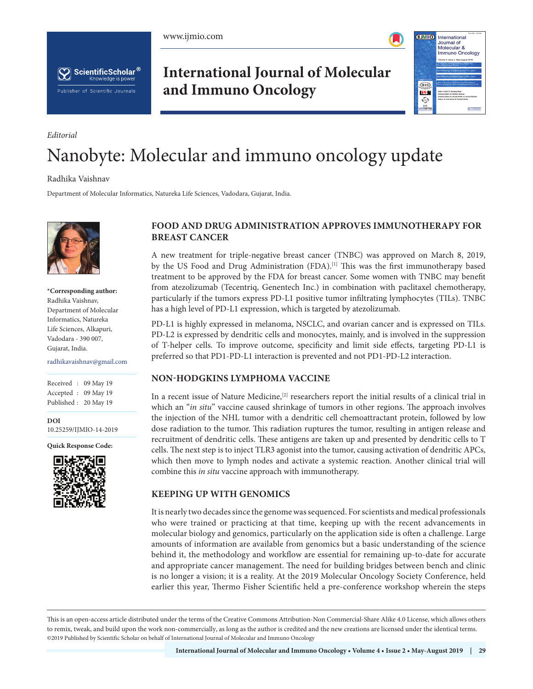www.ijmio.com



ScientificScholar<sup>®</sup> Knowledge is power Publisher of Scientific Journals

**International Journal of Molecular and Immuno Oncology**



# Nanobyte: Molecular and immuno oncology update

Radhika Vaishnav

*Editorial*

Department of Molecular Informatics, Natureka Life Sciences, Vadodara, Gujarat, India.



**\*Corresponding author:** Radhika Vaishnav, Department of Molecular Informatics, Natureka Life Sciences, Alkapuri, Vadodara - 390 007, Gujarat, India.

radhikavaishnav@gmail.com

Received : 09 May 19 Accepted : 09 May 19 Published : 20 May 19

**DOI** 10.25259/IJMIO-14-2019

**Quick Response Code:**



## **FOOD AND DRUG ADMINISTRATION APPROVES IMMUNOTHERAPY FOR BREAST CANCER**

A new treatment for triple-negative breast cancer (TNBC) was approved on March 8, 2019, by the US Food and Drug Administration (FDA).<sup>[1]</sup> This was the first immunotherapy based treatment to be approved by the FDA for breast cancer. Some women with TNBC may benefit from atezolizumab (Tecentriq, Genentech Inc.) in combination with paclitaxel chemotherapy, particularly if the tumors express PD-L1 positive tumor infiltrating lymphocytes (TILs). TNBC has a high level of PD-L1 expression, which is targeted by atezolizumab.

PD-L1 is highly expressed in melanoma, NSCLC, and ovarian cancer and is expressed on TILs. PD-L2 is expressed by dendritic cells and monocytes, mainly, and is involved in the suppression of T-helper cells. To improve outcome, specificity and limit side effects, targeting PD-L1 is preferred so that PD1-PD-L1 interaction is prevented and not PD1-PD-L2 interaction.

#### **NON-HODGKINS LYMPHOMA VACCINE**

In a recent issue of Nature Medicine,<sup>[2]</sup> researchers report the initial results of a clinical trial in which an "*in situ*" vaccine caused shrinkage of tumors in other regions. The approach involves the injection of the NHL tumor with a dendritic cell chemoattractant protein, followed by low dose radiation to the tumor. This radiation ruptures the tumor, resulting in antigen release and recruitment of dendritic cells. These antigens are taken up and presented by dendritic cells to T cells. The next step is to inject TLR3 agonist into the tumor, causing activation of dendritic APCs, which then move to lymph nodes and activate a systemic reaction. Another clinical trial will combine this *in situ* vaccine approach with immunotherapy.

#### **KEEPING UP WITH GENOMICS**

It is nearly two decades since the genome was sequenced. For scientists and medical professionals who were trained or practicing at that time, keeping up with the recent advancements in molecular biology and genomics, particularly on the application side is often a challenge. Large amounts of information are available from genomics but a basic understanding of the science behind it, the methodology and workflow are essential for remaining up-to-date for accurate and appropriate cancer management. The need for building bridges between bench and clinic is no longer a vision; it is a reality. At the 2019 Molecular Oncology Society Conference, held earlier this year, Thermo Fisher Scientific held a pre-conference workshop wherein the steps

This is an open-access article distributed under the terms of the Creative Commons Attribution-Non Commercial-Share Alike 4.0 License, which allows others to remix, tweak, and build upon the work non-commercially, as long as the author is credited and the new creations are licensed under the identical terms. ©2019 Published by Scientific Scholar on behalf of International Journal of Molecular and Immuno Oncology